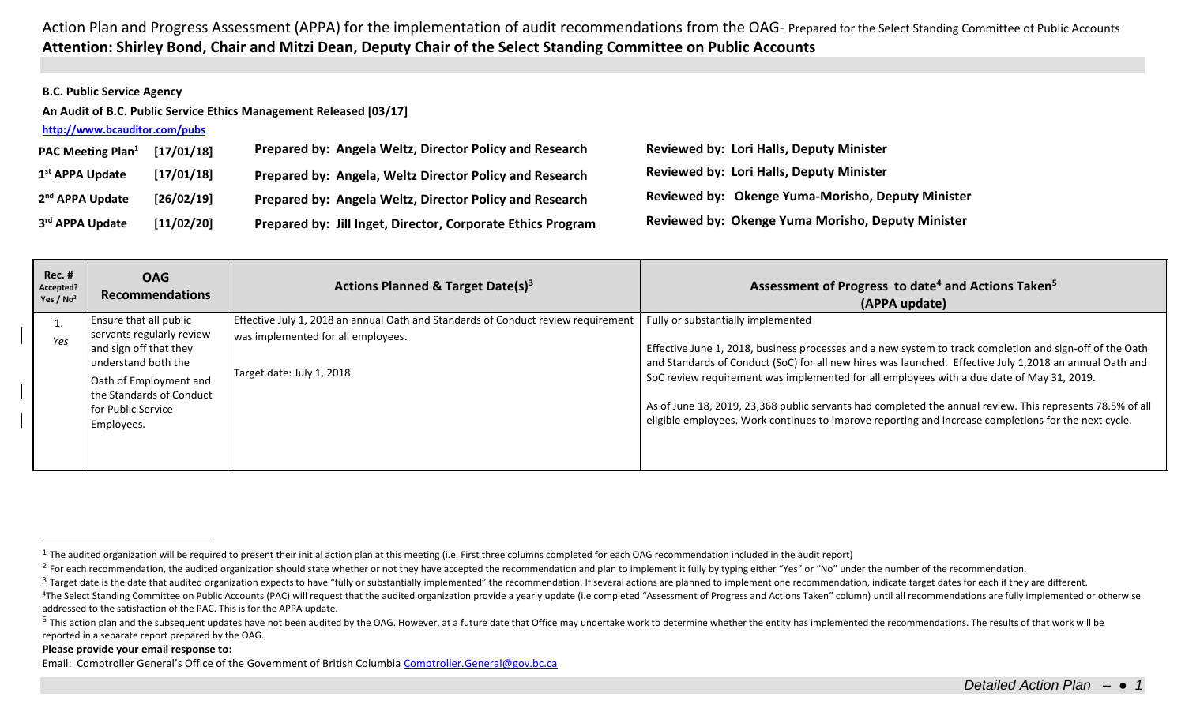## **B.C. Public Service Agency**

**An Audit of B.C. Public Service Ethics Management Released [03/17]**

| http://www.bcauditor.com/pubs |            |                                                             |                                                   |
|-------------------------------|------------|-------------------------------------------------------------|---------------------------------------------------|
| PAC Meeting Plan <sup>1</sup> | [17/01/18] | Prepared by: Angela Weltz, Director Policy and Research     | <b>Reviewed by: Lori Halls, Deputy Minister</b>   |
| 1 <sup>st</sup> APPA Update   | [17/01/18] | Prepared by: Angela, Weltz Director Policy and Research     | <b>Reviewed by: Lori Halls, Deputy Minister</b>   |
| 2 <sup>nd</sup> APPA Update   | [26/02/19] | Prepared by: Angela Weltz, Director Policy and Research     | Reviewed by: Okenge Yuma-Morisho, Deputy Minister |
| 3rd APPA Update               | [11/02/20] | Prepared by: Jill Inget, Director, Corporate Ethics Program | Reviewed by: Okenge Yuma Morisho, Deputy Minister |

| <b>Rec. #</b><br>Accepted?<br>Yes / $No2$ | <b>OAG</b><br><b>Recommendations</b>                                       | Actions Planned & Target Date(s) <sup>3</sup>                                     | Assessment of Progress to date <sup>4</sup> and Actions Taken <sup>5</sup><br>(APPA update)                                                                                                                         |
|-------------------------------------------|----------------------------------------------------------------------------|-----------------------------------------------------------------------------------|---------------------------------------------------------------------------------------------------------------------------------------------------------------------------------------------------------------------|
|                                           | Ensure that all public                                                     | Effective July 1, 2018 an annual Oath and Standards of Conduct review requirement | Fully or substantially implemented                                                                                                                                                                                  |
| Yes                                       | servants regularly review<br>and sign off that they<br>understand both the | was implemented for all employees.                                                | Effective June 1, 2018, business processes and a new system to track completion and sign-off of the Oath<br>and Standards of Conduct (SoC) for all new hires was launched. Effective July 1,2018 an annual Oath and |
|                                           | Oath of Employment and<br>the Standards of Conduct                         | Target date: July 1, 2018                                                         | SoC review requirement was implemented for all employees with a due date of May 31, 2019.                                                                                                                           |
|                                           | for Public Service                                                         |                                                                                   | As of June 18, 2019, 23,368 public servants had completed the annual review. This represents 78.5% of all                                                                                                           |
|                                           | Employees.                                                                 |                                                                                   | eligible employees. Work continues to improve reporting and increase completions for the next cycle.                                                                                                                |
|                                           |                                                                            |                                                                                   |                                                                                                                                                                                                                     |

## **Please provide your email response to:**

 $\overline{a}$ 

<sup>&</sup>lt;sup>1</sup> The audited organization will be required to present their initial action plan at this meeting (i.e. First three columns completed for each OAG recommendation included in the audit report)

<sup>&</sup>lt;sup>2</sup> For each recommendation, the audited organization should state whether or not they have accepted the recommendation and plan to implement it fully by typing either "Yes" or "No" under the number of the recommendation.

<sup>&</sup>lt;sup>3</sup> Target date is the date that audited organization expects to have "fully or substantially implemented" the recommendation. If several actions are planned to implement one recommendation, indicate target dates for each

<sup>&</sup>lt;sup>4</sup>The Select Standing Committee on Public Accounts (PAC) will request that the audited organization provide a yearly update (i.e completed "Assessment of Progress and Actions Taken" column) until all recommendations are f addressed to the satisfaction of the PAC. This is for the APPA update.

<sup>&</sup>lt;sup>5</sup> This action plan and the subsequent updates have not been audited by the OAG. However, at a future date that Office may undertake work to determine whether the entity has implemented the recommendations. The results of reported in a separate report prepared by the OAG.

Email: Comptroller General's Office of the Government of British Columbia [Comptroller.General@gov.bc.ca](mailto:Comptroller.General@gov.bc.ca)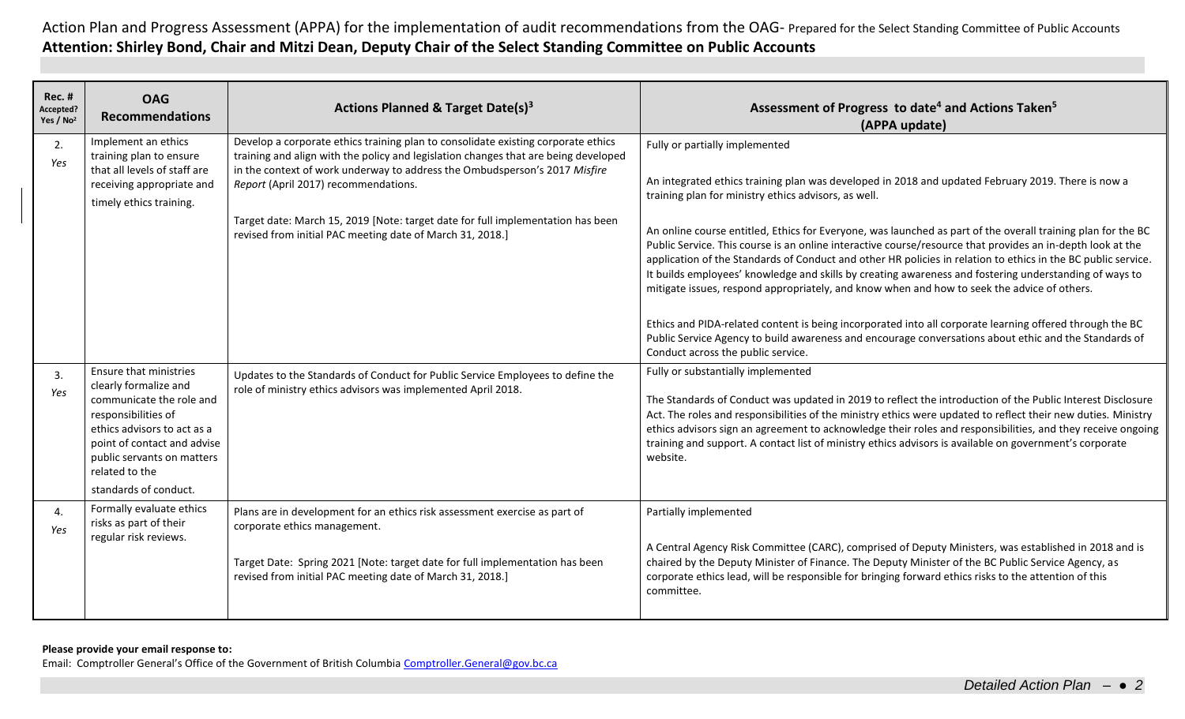| <b>Rec. #</b><br>Accepted?<br>Yes / No <sup>2</sup> | <b>OAG</b><br><b>Recommendations</b>                                                                                                                                                                                                      | Actions Planned & Target Date(s) <sup>3</sup>                                                                                                                                                                                                                                                                                                                                                                                                  | Assessment of Progress to date <sup>4</sup> and Actions Taken <sup>5</sup><br>(APPA update)                                                                                                                                                                                                                                                                                                                                                                                                                                                                                                                                                                                                                                                                                                                                                                                                                                                                               |
|-----------------------------------------------------|-------------------------------------------------------------------------------------------------------------------------------------------------------------------------------------------------------------------------------------------|------------------------------------------------------------------------------------------------------------------------------------------------------------------------------------------------------------------------------------------------------------------------------------------------------------------------------------------------------------------------------------------------------------------------------------------------|---------------------------------------------------------------------------------------------------------------------------------------------------------------------------------------------------------------------------------------------------------------------------------------------------------------------------------------------------------------------------------------------------------------------------------------------------------------------------------------------------------------------------------------------------------------------------------------------------------------------------------------------------------------------------------------------------------------------------------------------------------------------------------------------------------------------------------------------------------------------------------------------------------------------------------------------------------------------------|
| 2.<br>Yes                                           | Implement an ethics<br>training plan to ensure<br>that all levels of staff are<br>receiving appropriate and<br>timely ethics training.                                                                                                    | Develop a corporate ethics training plan to consolidate existing corporate ethics<br>training and align with the policy and legislation changes that are being developed<br>in the context of work underway to address the Ombudsperson's 2017 Misfire<br>Report (April 2017) recommendations.<br>Target date: March 15, 2019 [Note: target date for full implementation has been<br>revised from initial PAC meeting date of March 31, 2018.] | Fully or partially implemented<br>An integrated ethics training plan was developed in 2018 and updated February 2019. There is now a<br>training plan for ministry ethics advisors, as well.<br>An online course entitled, Ethics for Everyone, was launched as part of the overall training plan for the BC<br>Public Service. This course is an online interactive course/resource that provides an in-depth look at the<br>application of the Standards of Conduct and other HR policies in relation to ethics in the BC public service.<br>It builds employees' knowledge and skills by creating awareness and fostering understanding of ways to<br>mitigate issues, respond appropriately, and know when and how to seek the advice of others.<br>Ethics and PIDA-related content is being incorporated into all corporate learning offered through the BC<br>Public Service Agency to build awareness and encourage conversations about ethic and the Standards of |
| 3.<br>Yes                                           | Ensure that ministries<br>clearly formalize and<br>communicate the role and<br>responsibilities of<br>ethics advisors to act as a<br>point of contact and advise<br>public servants on matters<br>related to the<br>standards of conduct. | Updates to the Standards of Conduct for Public Service Employees to define the<br>role of ministry ethics advisors was implemented April 2018.                                                                                                                                                                                                                                                                                                 | Conduct across the public service.<br>Fully or substantially implemented<br>The Standards of Conduct was updated in 2019 to reflect the introduction of the Public Interest Disclosure<br>Act. The roles and responsibilities of the ministry ethics were updated to reflect their new duties. Ministry<br>ethics advisors sign an agreement to acknowledge their roles and responsibilities, and they receive ongoing<br>training and support. A contact list of ministry ethics advisors is available on government's corporate<br>website.                                                                                                                                                                                                                                                                                                                                                                                                                             |
| 4.<br>Yes                                           | Formally evaluate ethics<br>risks as part of their<br>regular risk reviews.                                                                                                                                                               | Plans are in development for an ethics risk assessment exercise as part of<br>corporate ethics management.<br>Target Date: Spring 2021 [Note: target date for full implementation has been<br>revised from initial PAC meeting date of March 31, 2018.]                                                                                                                                                                                        | Partially implemented<br>A Central Agency Risk Committee (CARC), comprised of Deputy Ministers, was established in 2018 and is<br>chaired by the Deputy Minister of Finance. The Deputy Minister of the BC Public Service Agency, as<br>corporate ethics lead, will be responsible for bringing forward ethics risks to the attention of this<br>committee.                                                                                                                                                                                                                                                                                                                                                                                                                                                                                                                                                                                                               |

## **Please provide your email response to:**

Email: Comptroller General's Office of the Government of British Columbia [Comptroller.General@gov.bc.ca](mailto:Comptroller.General@gov.bc.ca)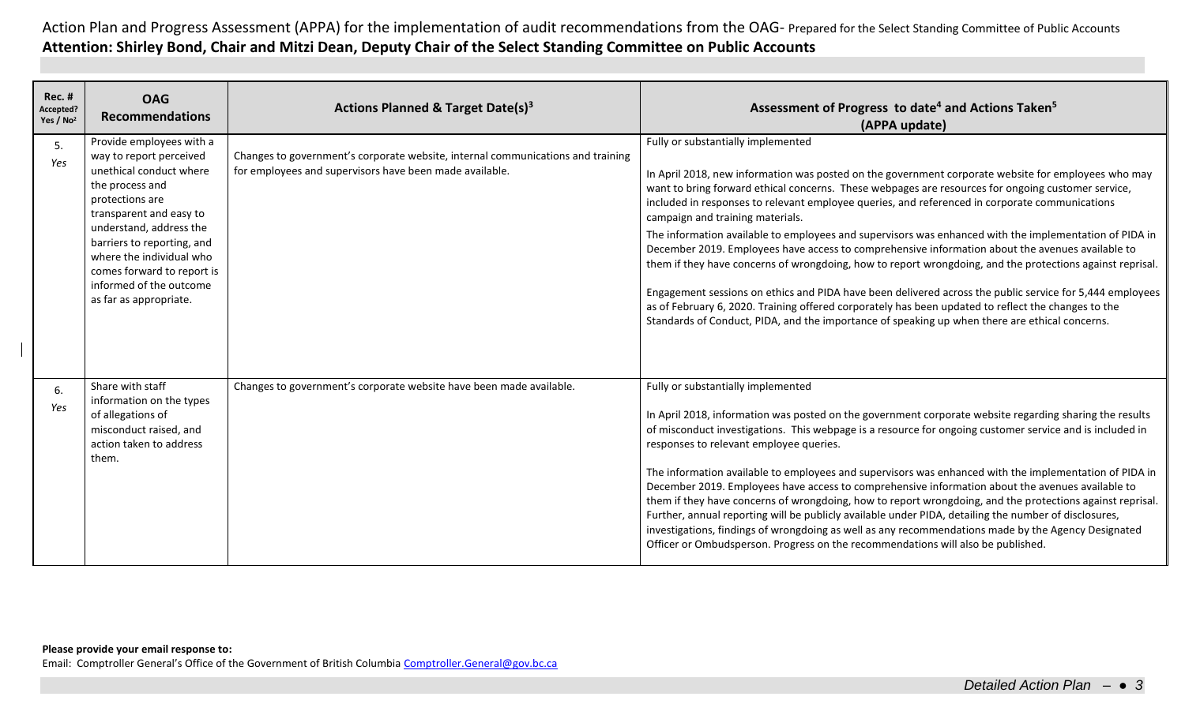| <b>Rec. #</b><br>Accepted?<br>Yes / No <sup>2</sup> | <b>OAG</b><br><b>Recommendations</b>                                                                                                                                                                                                                                                                                    | Actions Planned & Target Date(s) <sup>3</sup>                                                                                              | Assessment of Progress to date <sup>4</sup> and Actions Taken <sup>5</sup><br>(APPA update)                                                                                                                                                                                                                                                                                                                                                                                                                                                                                                                                                                                                                                                                                                                                                                                                                                                                                                                                           |
|-----------------------------------------------------|-------------------------------------------------------------------------------------------------------------------------------------------------------------------------------------------------------------------------------------------------------------------------------------------------------------------------|--------------------------------------------------------------------------------------------------------------------------------------------|---------------------------------------------------------------------------------------------------------------------------------------------------------------------------------------------------------------------------------------------------------------------------------------------------------------------------------------------------------------------------------------------------------------------------------------------------------------------------------------------------------------------------------------------------------------------------------------------------------------------------------------------------------------------------------------------------------------------------------------------------------------------------------------------------------------------------------------------------------------------------------------------------------------------------------------------------------------------------------------------------------------------------------------|
| 5.<br>Yes                                           | Provide employees with a<br>way to report perceived<br>unethical conduct where<br>the process and<br>protections are<br>transparent and easy to<br>understand, address the<br>barriers to reporting, and<br>where the individual who<br>comes forward to report is<br>informed of the outcome<br>as far as appropriate. | Changes to government's corporate website, internal communications and training<br>for employees and supervisors have been made available. | Fully or substantially implemented<br>In April 2018, new information was posted on the government corporate website for employees who may<br>want to bring forward ethical concerns. These webpages are resources for ongoing customer service,<br>included in responses to relevant employee queries, and referenced in corporate communications<br>campaign and training materials.<br>The information available to employees and supervisors was enhanced with the implementation of PIDA in<br>December 2019. Employees have access to comprehensive information about the avenues available to<br>them if they have concerns of wrongdoing, how to report wrongdoing, and the protections against reprisal.<br>Engagement sessions on ethics and PIDA have been delivered across the public service for 5,444 employees<br>as of February 6, 2020. Training offered corporately has been updated to reflect the changes to the<br>Standards of Conduct, PIDA, and the importance of speaking up when there are ethical concerns. |
| 6.<br>Yes                                           | Share with staff<br>information on the types<br>of allegations of<br>misconduct raised, and<br>action taken to address<br>them.                                                                                                                                                                                         | Changes to government's corporate website have been made available.                                                                        | Fully or substantially implemented<br>In April 2018, information was posted on the government corporate website regarding sharing the results<br>of misconduct investigations. This webpage is a resource for ongoing customer service and is included in<br>responses to relevant employee queries.<br>The information available to employees and supervisors was enhanced with the implementation of PIDA in<br>December 2019. Employees have access to comprehensive information about the avenues available to<br>them if they have concerns of wrongdoing, how to report wrongdoing, and the protections against reprisal.<br>Further, annual reporting will be publicly available under PIDA, detailing the number of disclosures,<br>investigations, findings of wrongdoing as well as any recommendations made by the Agency Designated<br>Officer or Ombudsperson. Progress on the recommendations will also be published.                                                                                                   |